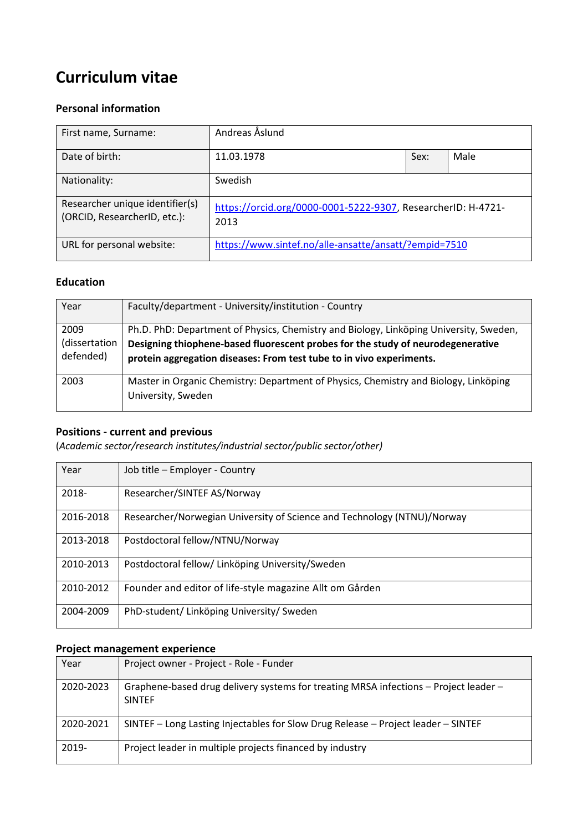# **Curriculum vitae**

## **Personal information**

| First name, Surname:                                            | Andreas Åslund                                                       |      |      |
|-----------------------------------------------------------------|----------------------------------------------------------------------|------|------|
| Date of birth:                                                  | 11.03.1978                                                           | Sex: | Male |
| Nationality:                                                    | Swedish                                                              |      |      |
| Researcher unique identifier(s)<br>(ORCID, ResearcherID, etc.): | https://orcid.org/0000-0001-5222-9307, ResearcherID: H-4721-<br>2013 |      |      |
| URL for personal website:                                       | https://www.sintef.no/alle-ansatte/ansatt/?empid=7510                |      |      |

## **Education**

| Year                               | Faculty/department - University/institution - Country                                                                                                                                                                                             |
|------------------------------------|---------------------------------------------------------------------------------------------------------------------------------------------------------------------------------------------------------------------------------------------------|
| 2009<br>(dissertation<br>defended) | Ph.D. PhD: Department of Physics, Chemistry and Biology, Linköping University, Sweden,<br>Designing thiophene-based fluorescent probes for the study of neurodegenerative<br>protein aggregation diseases: From test tube to in vivo experiments. |
| 2003                               | Master in Organic Chemistry: Department of Physics, Chemistry and Biology, Linköping<br>University, Sweden                                                                                                                                        |

# **Positions - current and previous**

(*Academic sector/research institutes/industrial sector/public sector/other)*

| Year      | Job title - Employer - Country                                          |
|-----------|-------------------------------------------------------------------------|
| 2018-     | Researcher/SINTEF AS/Norway                                             |
| 2016-2018 | Researcher/Norwegian University of Science and Technology (NTNU)/Norway |
| 2013-2018 | Postdoctoral fellow/NTNU/Norway                                         |
| 2010-2013 | Postdoctoral fellow/ Linköping University/Sweden                        |
| 2010-2012 | Founder and editor of life-style magazine Allt om Gården                |
| 2004-2009 | PhD-student/ Linköping University/ Sweden                               |

# **Project management experience**

| Year      | Project owner - Project - Role - Funder                                                               |
|-----------|-------------------------------------------------------------------------------------------------------|
| 2020-2023 | Graphene-based drug delivery systems for treating MRSA infections - Project leader -<br><b>SINTEF</b> |
| 2020-2021 | SINTEF – Long Lasting Injectables for Slow Drug Release – Project leader – SINTEF                     |
| 2019-     | Project leader in multiple projects financed by industry                                              |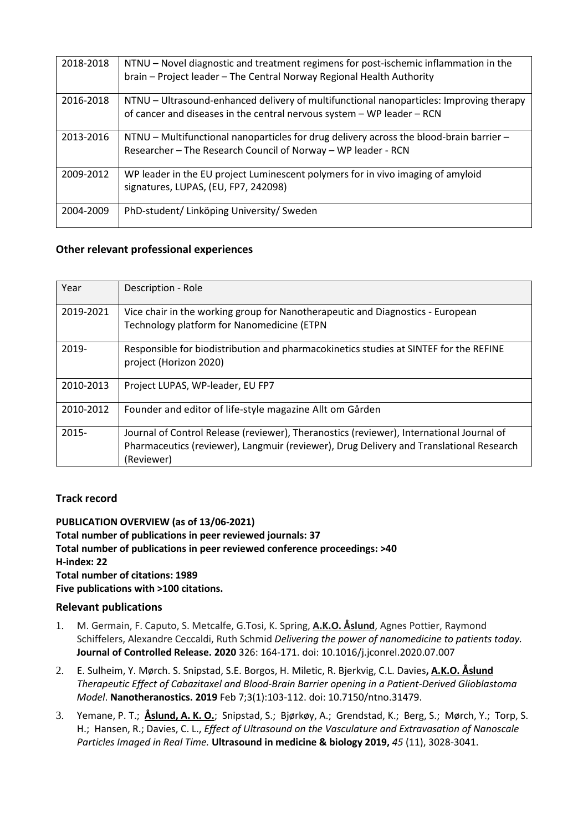| 2018-2018 | NTNU – Novel diagnostic and treatment regimens for post-ischemic inflammation in the<br>brain - Project leader - The Central Norway Regional Health Authority     |
|-----------|-------------------------------------------------------------------------------------------------------------------------------------------------------------------|
| 2016-2018 | NTNU - Ultrasound-enhanced delivery of multifunctional nanoparticles: Improving therapy<br>of cancer and diseases in the central nervous system - WP leader - RCN |
| 2013-2016 | $NTNU$ – Multifunctional nanoparticles for drug delivery across the blood-brain barrier –<br>Researcher - The Research Council of Norway - WP leader - RCN        |
| 2009-2012 | WP leader in the EU project Luminescent polymers for in vivo imaging of amyloid<br>signatures, LUPAS, (EU, FP7, 242098)                                           |
| 2004-2009 | PhD-student/ Linköping University/ Sweden                                                                                                                         |

#### **Other relevant professional experiences**

| Year      | Description - Role                                                                                                                                                                                |
|-----------|---------------------------------------------------------------------------------------------------------------------------------------------------------------------------------------------------|
| 2019-2021 | Vice chair in the working group for Nanotherapeutic and Diagnostics - European<br>Technology platform for Nanomedicine (ETPN                                                                      |
| $2019 -$  | Responsible for biodistribution and pharmacokinetics studies at SINTEF for the REFINE<br>project (Horizon 2020)                                                                                   |
| 2010-2013 | Project LUPAS, WP-leader, EU FP7                                                                                                                                                                  |
| 2010-2012 | Founder and editor of life-style magazine Allt om Gården                                                                                                                                          |
| $2015 -$  | Journal of Control Release (reviewer), Theranostics (reviewer), International Journal of<br>Pharmaceutics (reviewer), Langmuir (reviewer), Drug Delivery and Translational Research<br>(Reviewer) |

## **Track record**

**PUBLICATION OVERVIEW (as of 13/06-2021) Total number of publications in peer reviewed journals: 37 Total number of publications in peer reviewed conference proceedings: >40 H-index: 22 Total number of citations: 1989 Five publications with >100 citations.**

#### **Relevant publications**

- 1. M. Germain, F. Caputo, S. Metcalfe, G.Tosi, K. Spring, **A.K.O. Åslund**, Agnes Pottier, Raymond Schiffelers, Alexandre Ceccaldi, Ruth Schmid *Delivering the power of nanomedicine to patients today.* **Journal of Controlled Release. 2020** 326: 164-171. doi: 10.1016/j.jconrel.2020.07.007
- 2. E. Sulheim, Y. Mørch. S. Snipstad, S.E. Borgos, H. Miletic, R. Bjerkvig, C.L. Davies**, A.K.O. Åslund** *Therapeutic Effect of Cabazitaxel and Blood-Brain Barrier opening in a Patient-Derived Glioblastoma Model*. **Nanotheranostics. 2019** Feb 7;3(1):103-112. doi: 10.7150/ntno.31479.
- 3. Yemane, P. T.; **Åslund, A. K. O.**; Snipstad, S.; Bjørkøy, A.; Grendstad, K.; Berg, S.; Mørch, Y.; Torp, S. H.; Hansen, R.; Davies, C. L., *Effect of Ultrasound on the Vasculature and Extravasation of Nanoscale Particles Imaged in Real Time.* **Ultrasound in medicine & biology 2019,** *45* (11), 3028-3041.